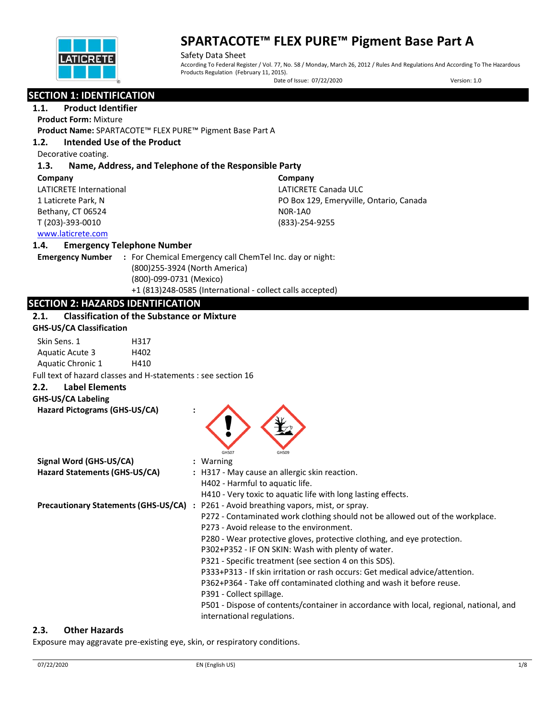

Safety Data Sheet According To Federal Register / Vol. 77, No. 58 / Monday, March 26, 2012 / Rules And Regulations And According To The Hazardous Products Regulation (February 11, 2015).

Date of Issue: 07/22/2020 Version: 1.0

# **SECTION 1: IDENTIFICATION**

## **1.1. Product Identifier**

**Product Form:** Mixture

**Product Name:** SPARTACOTE™ FLEX PURE™ Pigment Base Part A

## **1.2. Intended Use of the Product**

Decorative coating.

## **1.3. Name, Address, and Telephone of the Responsible Party**

| Company                 | Company                                 |
|-------------------------|-----------------------------------------|
| LATICRETE International | LATICRETE Canada ULC                    |
| 1 Laticrete Park, N     | PO Box 129, Emeryville, Ontario, Canada |
| Bethany, CT 06524       | NOR-1AO                                 |
| T (203)-393-0010        | (833)-254-9255                          |
| www.laticrete.com       |                                         |

## **1.4. Emergency Telephone Number**

**Emergency Number :** For Chemical Emergency call ChemTel Inc. day or night: (800)255-3924 (North America) (800)-099-0731 (Mexico) +1 (813)248-0585 (International - collect calls accepted)

## **SECTION 2: HAZARDS IDENTIFICATION**

## **2.1. Classification of the Substance or Mixture**

| <b>GHS-US/CA Classification</b> |                                                               |  |
|---------------------------------|---------------------------------------------------------------|--|
| Skin Sens. 1                    | H317                                                          |  |
| Aquatic Acute 3                 | H402                                                          |  |
| Aquatic Chronic 1               | H410                                                          |  |
|                                 | Full text of hazard classes and H-statements : see section 16 |  |
| <b>Label Elements</b><br>2.2.   |                                                               |  |
| <b>GHS-US/CA Labeling</b>       |                                                               |  |
| Hazard Pictograms (GHS-US/CA)   |                                                               |  |



| Signal Word (GHS-US/CA)       |  | $:$ Warning                                                                                  |
|-------------------------------|--|----------------------------------------------------------------------------------------------|
| Hazard Statements (GHS-US/CA) |  | : H317 - May cause an allergic skin reaction.                                                |
|                               |  | H402 - Harmful to aquatic life.                                                              |
|                               |  | H410 - Very toxic to aquatic life with long lasting effects.                                 |
|                               |  | <b>Precautionary Statements (GHS-US/CA)</b> : P261 - Avoid breathing vapors, mist, or spray. |
|                               |  | P272 - Contaminated work clothing should not be allowed out of the workplace.                |
|                               |  | P273 - Avoid release to the environment.                                                     |
|                               |  | P280 - Wear protective gloves, protective clothing, and eye protection.                      |
|                               |  | P302+P352 - IF ON SKIN: Wash with plenty of water.                                           |
|                               |  | P321 - Specific treatment (see section 4 on this SDS).                                       |
|                               |  | P333+P313 - If skin irritation or rash occurs: Get medical advice/attention.                 |
|                               |  | P362+P364 - Take off contaminated clothing and wash it before reuse.                         |
|                               |  | P391 - Collect spillage.                                                                     |
|                               |  | P501 - Dispose of contents/container in accordance with local, regional, national, and       |
|                               |  | international regulations.                                                                   |

## **2.3. Other Hazards**

Exposure may aggravate pre-existing eye, skin, or respiratory conditions.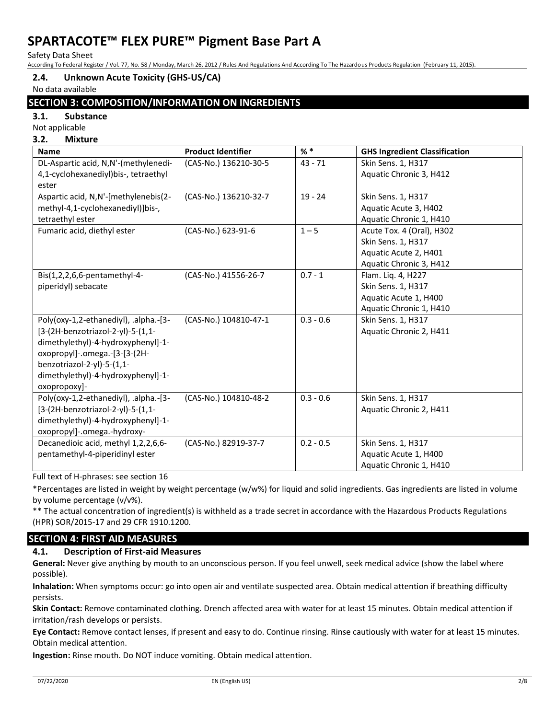Safety Data Sheet

According To Federal Register / Vol. 77, No. 58 / Monday, March 26, 2012 / Rules And Regulations And According To The Hazardous Products Regulation (February 11, 2015).

## **2.4. Unknown Acute Toxicity (GHS-US/CA)**

No data available

## **SECTION 3: COMPOSITION/INFORMATION ON INGREDIENTS**

**3.1. Substance**

Not applicable

# **3.2. Mixture**

| <b>Name</b>                           | <b>Product Identifier</b> | $%$ *       | <b>GHS Ingredient Classification</b> |
|---------------------------------------|---------------------------|-------------|--------------------------------------|
| DL-Aspartic acid, N,N'-(methylenedi-  | (CAS-No.) 136210-30-5     | $43 - 71$   | Skin Sens. 1, H317                   |
| 4,1-cyclohexanediyl)bis-, tetraethyl  |                           |             | Aquatic Chronic 3, H412              |
| ester                                 |                           |             |                                      |
| Aspartic acid, N,N'-[methylenebis(2-  | (CAS-No.) 136210-32-7     | $19 - 24$   | Skin Sens. 1, H317                   |
| methyl-4,1-cyclohexanediyl)]bis-,     |                           |             | Aquatic Acute 3, H402                |
| tetraethyl ester                      |                           |             | Aquatic Chronic 1, H410              |
| Fumaric acid, diethyl ester           | (CAS-No.) 623-91-6        | $1 - 5$     | Acute Tox. 4 (Oral), H302            |
|                                       |                           |             | Skin Sens. 1, H317                   |
|                                       |                           |             | Aquatic Acute 2, H401                |
|                                       |                           |             | Aquatic Chronic 3, H412              |
| Bis(1,2,2,6,6-pentamethyl-4-          | (CAS-No.) 41556-26-7      | $0.7 - 1$   | Flam. Liq. 4, H227                   |
| piperidyl) sebacate                   |                           |             | Skin Sens. 1, H317                   |
|                                       |                           |             | Aquatic Acute 1, H400                |
|                                       |                           |             | Aquatic Chronic 1, H410              |
| Poly(oxy-1,2-ethanediyl), .alpha.-[3- | (CAS-No.) 104810-47-1     | $0.3 - 0.6$ | Skin Sens. 1, H317                   |
| [3-(2H-benzotriazol-2-yl)-5-(1,1-     |                           |             | Aquatic Chronic 2, H411              |
| dimethylethyl)-4-hydroxyphenyl]-1-    |                           |             |                                      |
| oxopropyl]-.omega.-[3-[3-(2H-         |                           |             |                                      |
| benzotriazol-2-yl)-5-(1,1-            |                           |             |                                      |
| dimethylethyl)-4-hydroxyphenyl]-1-    |                           |             |                                      |
| oxopropoxy]-                          |                           |             |                                      |
| Poly(oxy-1,2-ethanediyl), .alpha.-[3- | (CAS-No.) 104810-48-2     | $0.3 - 0.6$ | Skin Sens. 1, H317                   |
| [3-(2H-benzotriazol-2-yl)-5-(1,1-     |                           |             | Aquatic Chronic 2, H411              |
| dimethylethyl)-4-hydroxyphenyl]-1-    |                           |             |                                      |
| oxopropyl]-.omega.-hydroxy-           |                           |             |                                      |
| Decanedioic acid, methyl 1,2,2,6,6-   | (CAS-No.) 82919-37-7      | $0.2 - 0.5$ | Skin Sens. 1, H317                   |
| pentamethyl-4-piperidinyl ester       |                           |             | Aquatic Acute 1, H400                |
|                                       |                           |             | Aquatic Chronic 1, H410              |

Full text of H-phrases: see section 16

\*Percentages are listed in weight by weight percentage (w/w%) for liquid and solid ingredients. Gas ingredients are listed in volume by volume percentage (v/v%).

\*\* The actual concentration of ingredient(s) is withheld as a trade secret in accordance with the Hazardous Products Regulations (HPR) SOR/2015-17 and 29 CFR 1910.1200.

## **SECTION 4: FIRST AID MEASURES**

## **4.1. Description of First-aid Measures**

**General:** Never give anything by mouth to an unconscious person. If you feel unwell, seek medical advice (show the label where possible).

**Inhalation:** When symptoms occur: go into open air and ventilate suspected area. Obtain medical attention if breathing difficulty persists.

**Skin Contact:** Remove contaminated clothing. Drench affected area with water for at least 15 minutes. Obtain medical attention if irritation/rash develops or persists.

**Eye Contact:** Remove contact lenses, if present and easy to do. Continue rinsing. Rinse cautiously with water for at least 15 minutes. Obtain medical attention.

**Ingestion:** Rinse mouth. Do NOT induce vomiting. Obtain medical attention.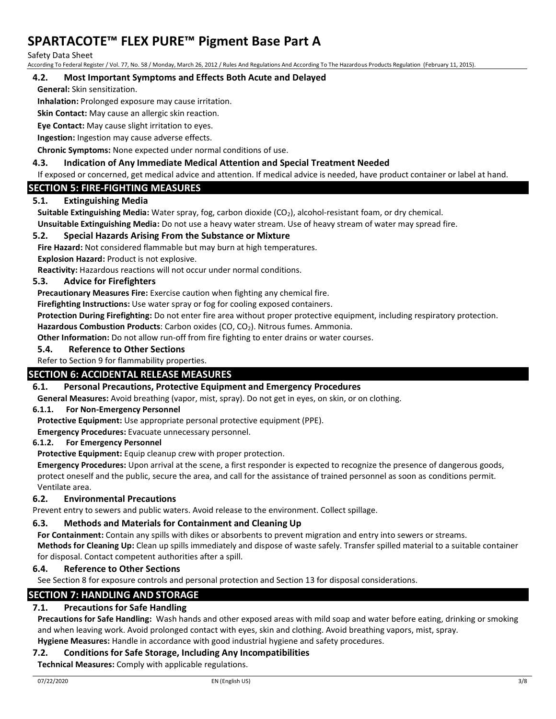Safety Data Sheet

According To Federal Register / Vol. 77, No. 58 / Monday, March 26, 2012 / Rules And Regulations And According To The Hazardous Products Regulation (February 11, 2015).

## **4.2. Most Important Symptoms and Effects Both Acute and Delayed**

**General:** Skin sensitization.

**Inhalation:** Prolonged exposure may cause irritation.

**Skin Contact:** May cause an allergic skin reaction.

**Eye Contact:** May cause slight irritation to eyes.

**Ingestion:** Ingestion may cause adverse effects.

**Chronic Symptoms:** None expected under normal conditions of use.

## **4.3. Indication of Any Immediate Medical Attention and Special Treatment Needed**

If exposed or concerned, get medical advice and attention. If medical advice is needed, have product container or label at hand.

## **SECTION 5: FIRE-FIGHTING MEASURES**

## **5.1. Extinguishing Media**

**Suitable Extinguishing Media:** Water spray, fog, carbon dioxide (CO<sub>2</sub>), alcohol-resistant foam, or dry chemical. **Unsuitable Extinguishing Media:** Do not use a heavy water stream. Use of heavy stream of water may spread fire.

## **5.2. Special Hazards Arising From the Substance or Mixture**

**Fire Hazard:** Not considered flammable but may burn at high temperatures.

**Explosion Hazard:** Product is not explosive.

**Reactivity:** Hazardous reactions will not occur under normal conditions.

## **5.3. Advice for Firefighters**

**Precautionary Measures Fire:** Exercise caution when fighting any chemical fire.

**Firefighting Instructions:** Use water spray or fog for cooling exposed containers.

**Protection During Firefighting:** Do not enter fire area without proper protective equipment, including respiratory protection.

**Hazardous Combustion Products**: Carbon oxides (CO, CO2). Nitrous fumes. Ammonia.

**Other Information:** Do not allow run-off from fire fighting to enter drains or water courses.

### **5.4. Reference to Other Sections**

Refer to Section 9 for flammability properties.

## **SECTION 6: ACCIDENTAL RELEASE MEASURES**

## **6.1. Personal Precautions, Protective Equipment and Emergency Procedures**

**General Measures:** Avoid breathing (vapor, mist, spray). Do not get in eyes, on skin, or on clothing.

#### **6.1.1. For Non-Emergency Personnel**

**Protective Equipment:** Use appropriate personal protective equipment (PPE).

**Emergency Procedures:** Evacuate unnecessary personnel.

#### **6.1.2. For Emergency Personnel**

**Protective Equipment:** Equip cleanup crew with proper protection.

**Emergency Procedures:** Upon arrival at the scene, a first responder is expected to recognize the presence of dangerous goods, protect oneself and the public, secure the area, and call for the assistance of trained personnel as soon as conditions permit. Ventilate area.

## **6.2. Environmental Precautions**

Prevent entry to sewers and public waters. Avoid release to the environment. Collect spillage.

## **6.3. Methods and Materials for Containment and Cleaning Up**

**For Containment:** Contain any spills with dikes or absorbents to prevent migration and entry into sewers or streams. **Methods for Cleaning Up:** Clean up spills immediately and dispose of waste safely. Transfer spilled material to a suitable container for disposal. Contact competent authorities after a spill.

## **6.4. Reference to Other Sections**

See Section 8 for exposure controls and personal protection and Section 13 for disposal considerations.

## **SECTION 7: HANDLING AND STORAGE**

# **7.1. Precautions for Safe Handling**

**Precautions for Safe Handling:** Wash hands and other exposed areas with mild soap and water before eating, drinking or smoking and when leaving work. Avoid prolonged contact with eyes, skin and clothing. Avoid breathing vapors, mist, spray. **Hygiene Measures:** Handle in accordance with good industrial hygiene and safety procedures.

# **7.2. Conditions for Safe Storage, Including Any Incompatibilities**

**Technical Measures:** Comply with applicable regulations.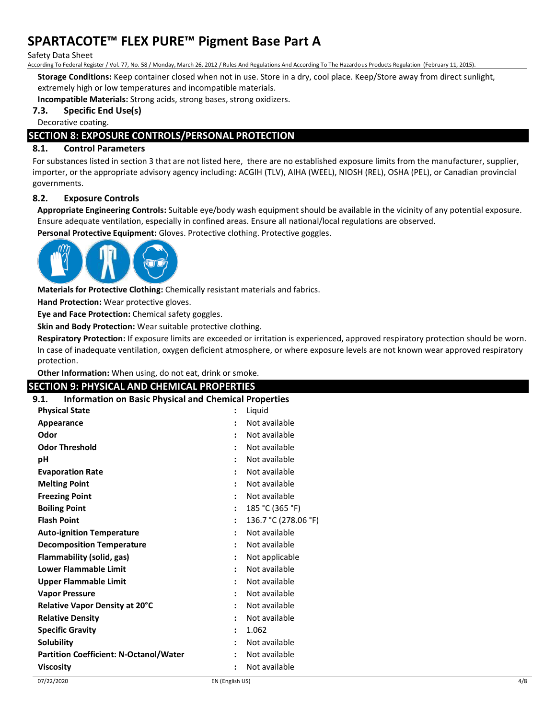#### Safety Data Sheet

According To Federal Register / Vol. 77, No. 58 / Monday, March 26, 2012 / Rules And Regulations And According To The Hazardous Products Regulation (February 11, 2015).

**Storage Conditions:** Keep container closed when not in use. Store in a dry, cool place. Keep/Store away from direct sunlight,

extremely high or low temperatures and incompatible materials.

**Incompatible Materials:** Strong acids, strong bases, strong oxidizers.

## **7.3. Specific End Use(s)**

Decorative coating.

## **SECTION 8: EXPOSURE CONTROLS/PERSONAL PROTECTION**

## **8.1. Control Parameters**

For substances listed in section 3 that are not listed here, there are no established exposure limits from the manufacturer, supplier, importer, or the appropriate advisory agency including: ACGIH (TLV), AIHA (WEEL), NIOSH (REL), OSHA (PEL), or Canadian provincial governments.

#### **8.2. Exposure Controls**

**Appropriate Engineering Controls:** Suitable eye/body wash equipment should be available in the vicinity of any potential exposure. Ensure adequate ventilation, especially in confined areas. Ensure all national/local regulations are observed.

**Personal Protective Equipment:** Gloves. Protective clothing. Protective goggles.



**Materials for Protective Clothing:** Chemically resistant materials and fabrics.

**Hand Protection:** Wear protective gloves.

**Eye and Face Protection:** Chemical safety goggles.

**Skin and Body Protection:** Wear suitable protective clothing.

**Respiratory Protection:** If exposure limits are exceeded or irritation is experienced, approved respiratory protection should be worn. In case of inadequate ventilation, oxygen deficient atmosphere, or where exposure levels are not known wear approved respiratory protection.

**Other Information:** When using, do not eat, drink or smoke.

#### **SECTION 9: PHYSICAL AND CHEMICAL PROPERTIES**

| <b>Information on Basic Physical and Chemical Properties</b><br>9.1. |                      |                      |  |
|----------------------------------------------------------------------|----------------------|----------------------|--|
| <b>Physical State</b>                                                |                      | Liquid               |  |
| Appearance                                                           |                      | Not available        |  |
| Odor                                                                 |                      | Not available        |  |
| <b>Odor Threshold</b>                                                |                      | Not available        |  |
| рH                                                                   |                      | Not available        |  |
| <b>Evaporation Rate</b>                                              |                      | Not available        |  |
| <b>Melting Point</b>                                                 |                      | Not available        |  |
| <b>Freezing Point</b>                                                |                      | Not available        |  |
| <b>Boiling Point</b>                                                 |                      | 185 °C (365 °F)      |  |
| <b>Flash Point</b>                                                   |                      | 136.7 °C (278.06 °F) |  |
| <b>Auto-ignition Temperature</b>                                     | $\ddot{\phantom{a}}$ | Not available        |  |
| <b>Decomposition Temperature</b>                                     |                      | Not available        |  |
| Flammability (solid, gas)                                            |                      | Not applicable       |  |
| <b>Lower Flammable Limit</b>                                         |                      | Not available        |  |
| <b>Upper Flammable Limit</b>                                         | $\ddot{\cdot}$       | Not available        |  |
| <b>Vapor Pressure</b>                                                |                      | Not available        |  |
| Relative Vapor Density at 20°C                                       |                      | Not available        |  |
| <b>Relative Density</b>                                              |                      | Not available        |  |
| <b>Specific Gravity</b>                                              | $\ddot{\phantom{a}}$ | 1.062                |  |
| <b>Solubility</b>                                                    |                      | Not available        |  |
| <b>Partition Coefficient: N-Octanol/Water</b>                        |                      | Not available        |  |
| <b>Viscosity</b>                                                     |                      | Not available        |  |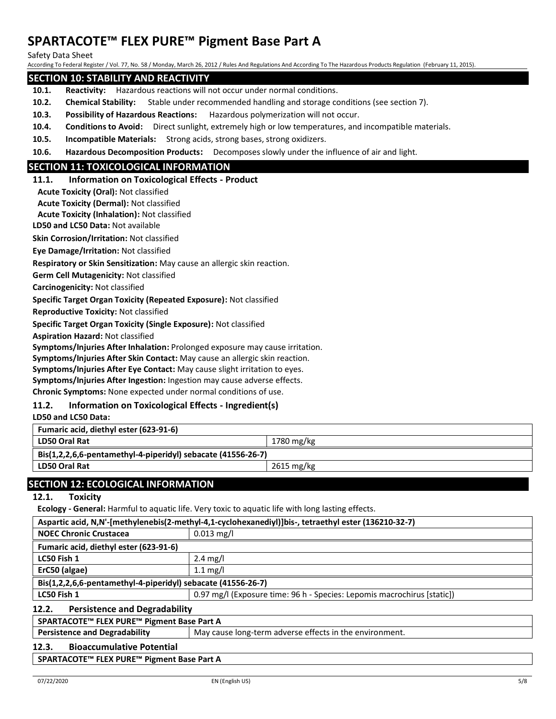Safety Data Sheet

According To Federal Register / Vol. 77, No. 58 / Monday, March 26, 2012 / Rules And Regulations And According To The Hazardous Products Regulation (February 11, 2015).

## **SECTION 10: STABILITY AND REACTIVITY**

- **10.1. Reactivity:** Hazardous reactions will not occur under normal conditions.
- **10.2. Chemical Stability:** Stable under recommended handling and storage conditions (see section 7).
- **10.3. Possibility of Hazardous Reactions:** Hazardous polymerization will not occur.
- **10.4. Conditions to Avoid:** Direct sunlight, extremely high or low temperatures, and incompatible materials.
- **10.5. Incompatible Materials:** Strong acids, strong bases, strong oxidizers.
- **10.6. Hazardous Decomposition Products:** Decomposes slowly under the influence of air and light.

## **SECTION 11: TOXICOLOGICAL INFORMATION**

#### **11.1. Information on Toxicological Effects - Product**

**Acute Toxicity (Oral):** Not classified

**Acute Toxicity (Dermal):** Not classified

**Acute Toxicity (Inhalation):** Not classified

**LD50 and LC50 Data:** Not available

**Skin Corrosion/Irritation:** Not classified

**Eye Damage/Irritation:** Not classified

**Respiratory or Skin Sensitization:** May cause an allergic skin reaction.

**Germ Cell Mutagenicity:** Not classified

**Carcinogenicity:** Not classified

**Specific Target Organ Toxicity (Repeated Exposure):** Not classified

**Reproductive Toxicity:** Not classified

**Specific Target Organ Toxicity (Single Exposure):** Not classified

**Aspiration Hazard:** Not classified

**Symptoms/Injuries After Inhalation:** Prolonged exposure may cause irritation.

**Symptoms/Injuries After Skin Contact:** May cause an allergic skin reaction.

**Symptoms/Injuries After Eye Contact:** May cause slight irritation to eyes.

**Symptoms/Injuries After Ingestion:** Ingestion may cause adverse effects.

**Chronic Symptoms:** None expected under normal conditions of use.

## **11.2. Information on Toxicological Effects - Ingredient(s)**

**LD50 and LC50 Data:**

| Fumaric acid, diethyl ester (623-91-6)                       |            |  |
|--------------------------------------------------------------|------------|--|
| <b>LD50 Oral Rat</b>                                         | 1780 mg/kg |  |
| Bis(1,2,2,6,6-pentamethyl-4-piperidyl) sebacate (41556-26-7) |            |  |
| <b>LD50 Oral Rat</b>                                         | 2615 mg/kg |  |

## **SECTION 12: ECOLOGICAL INFORMATION**

## **12.1. Toxicity**

**Ecology - General:** Harmful to aquatic life. Very toxic to aquatic life with long lasting effects.

| Aspartic acid, N,N'-[methylenebis(2-methyl-4,1-cyclohexanediyl)]bis-, tetraethyl ester (136210-32-7) |                                                                         |  |
|------------------------------------------------------------------------------------------------------|-------------------------------------------------------------------------|--|
| <b>NOEC Chronic Crustacea</b>                                                                        | $0.013$ mg/l                                                            |  |
| Fumaric acid, diethyl ester (623-91-6)                                                               |                                                                         |  |
| LC50 Fish 1                                                                                          | $2.4 \text{ mg/l}$                                                      |  |
| ErC50 (algae)                                                                                        | $1.1 \text{ mg/l}$                                                      |  |
| Bis(1,2,2,6,6-pentamethyl-4-piperidyl) sebacate (41556-26-7)                                         |                                                                         |  |
| LC50 Fish 1                                                                                          | 0.97 mg/l (Exposure time: 96 h - Species: Lepomis macrochirus [static]) |  |
| <b>Persistence and Degradability</b><br>12.2.                                                        |                                                                         |  |
| SPARTACOTE™ FLEX PURE™ Pigment Base Part A                                                           |                                                                         |  |
| <b>Persistence and Degradability</b>                                                                 | May cause long-term adverse effects in the environment.                 |  |
| <b>Bioaccumulative Potential</b><br>12.3.                                                            |                                                                         |  |

**SPARTACOTE™ FLEX PURE™ Pigment Base Part A**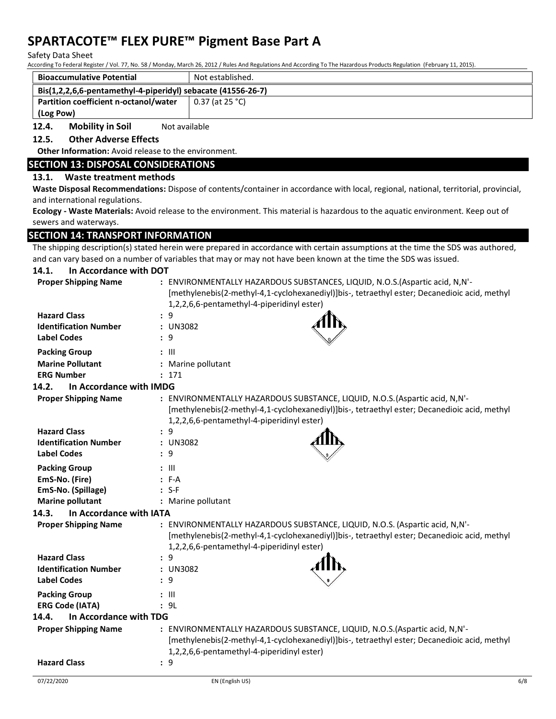Safety Data Sheet

According To Federal Register / Vol. 77, No. 58 / Monday, March 26, 2012 / Rules And Regulations And According To The Hazardous Products Regulation (February 11, 2015).

| <b>Bioaccumulative Potential</b>                             | Not established.  |  |
|--------------------------------------------------------------|-------------------|--|
| Bis(1,2,2,6,6-pentamethyl-4-piperidyl) sebacate (41556-26-7) |                   |  |
| Partition coefficient n-octanol/water                        | $0.37$ (at 25 °C) |  |
| (Log Pow)                                                    |                   |  |

**12.4.** Mobility in Soil Not available

## **12.5. Other Adverse Effects**

**Other Information:** Avoid release to the environment.

## **SECTION 13: DISPOSAL CONSIDERATIONS**

## **13.1. Waste treatment methods**

**Waste Disposal Recommendations:** Dispose of contents/container in accordance with local, regional, national, territorial, provincial, and international regulations.

**Ecology - Waste Materials:** Avoid release to the environment. This material is hazardous to the aquatic environment. Keep out of sewers and waterways.

## **SECTION 14: TRANSPORT INFORMATION**

The shipping description(s) stated herein were prepared in accordance with certain assumptions at the time the SDS was authored, and can vary based on a number of variables that may or may not have been known at the time the SDS was issued.

#### **14.1. In Accordance with DOT**

| <b>Proper Shipping Name</b>      | : ENVIRONMENTALLY HAZARDOUS SUBSTANCES, LIQUID, N.O.S. (Aspartic acid, N,N'-<br>[methylenebis(2-methyl-4,1-cyclohexanediyl)]bis-, tetraethyl ester; Decanedioic acid, methyl<br>1,2,2,6,6-pentamethyl-4-piperidinyl ester) |
|----------------------------------|----------------------------------------------------------------------------------------------------------------------------------------------------------------------------------------------------------------------------|
| <b>Hazard Class</b>              | : 9                                                                                                                                                                                                                        |
| <b>Identification Number</b>     | : UN3082                                                                                                                                                                                                                   |
| <b>Label Codes</b>               | : 9                                                                                                                                                                                                                        |
| <b>Packing Group</b>             | $: \mathbb{H}$                                                                                                                                                                                                             |
| <b>Marine Pollutant</b>          | : Marine pollutant                                                                                                                                                                                                         |
| <b>ERG Number</b>                | : 171                                                                                                                                                                                                                      |
| In Accordance with IMDG<br>14.2. |                                                                                                                                                                                                                            |
| <b>Proper Shipping Name</b>      | : ENVIRONMENTALLY HAZARDOUS SUBSTANCE, LIQUID, N.O.S. (Aspartic acid, N,N'-<br>[methylenebis(2-methyl-4,1-cyclohexanediyl)]bis-, tetraethyl ester; Decanedioic acid, methyl<br>1,2,2,6,6-pentamethyl-4-piperidinyl ester)  |
| <b>Hazard Class</b>              | : 9                                                                                                                                                                                                                        |
| <b>Identification Number</b>     | : UN3082                                                                                                                                                                                                                   |
| <b>Label Codes</b>               | : 9                                                                                                                                                                                                                        |
| <b>Packing Group</b>             | : III                                                                                                                                                                                                                      |
| EmS-No. (Fire)                   | $: F-A$                                                                                                                                                                                                                    |
| EmS-No. (Spillage)               | $: S-F$                                                                                                                                                                                                                    |
| <b>Marine pollutant</b>          | : Marine pollutant                                                                                                                                                                                                         |
| 14.3.<br>In Accordance with IATA |                                                                                                                                                                                                                            |
| <b>Proper Shipping Name</b>      | : ENVIRONMENTALLY HAZARDOUS SUBSTANCE, LIQUID, N.O.S. (Aspartic acid, N,N'-<br>[methylenebis(2-methyl-4,1-cyclohexanediyl)]bis-, tetraethyl ester; Decanedioic acid, methyl<br>1,2,2,6,6-pentamethyl-4-piperidinyl ester)  |
| <b>Hazard Class</b>              | : 9                                                                                                                                                                                                                        |
| <b>Identification Number</b>     | : UN3082                                                                                                                                                                                                                   |
| <b>Label Codes</b>               | : 9                                                                                                                                                                                                                        |
| <b>Packing Group</b>             | $: \mathbb{H}$                                                                                                                                                                                                             |
| <b>ERG Code (IATA)</b>           | : 9L                                                                                                                                                                                                                       |
| In Accordance with TDG<br>14.4.  |                                                                                                                                                                                                                            |
| <b>Proper Shipping Name</b>      | : ENVIRONMENTALLY HAZARDOUS SUBSTANCE, LIQUID, N.O.S. (Aspartic acid, N,N'-<br>[methylenebis(2-methyl-4,1-cyclohexanediyl)]bis-, tetraethyl ester; Decanedioic acid, methyl<br>1,2,2,6,6-pentamethyl-4-piperidinyl ester)  |
| <b>Hazard Class</b>              | : 9                                                                                                                                                                                                                        |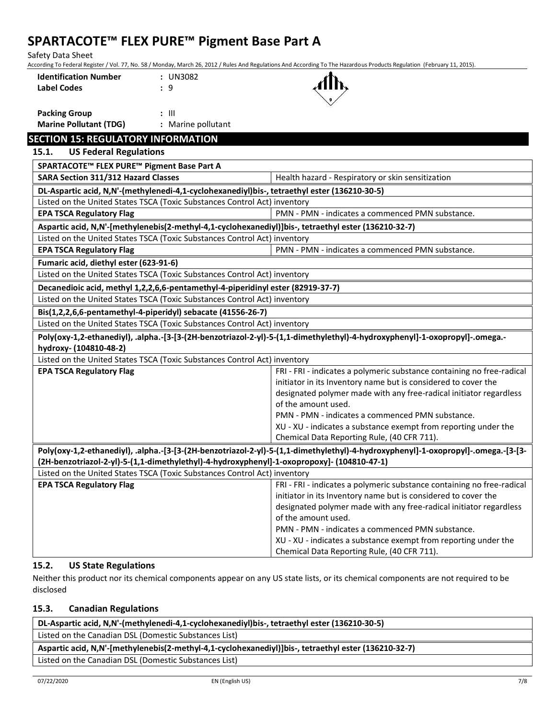Safety Data Sheet

According To Federal Register / Vol. 77, No. 58 / Monday, March 26, 2012 / Rules And Regulations And According To The Hazardous Products Regulation (February 11, 2015).

| <b>Identification Number</b> | : U |
|------------------------------|-----|
| <b>Label Codes</b>           | : 9 |



**Packing Group :** III **Marine Pollutant (TDG) :** Marine pollutant

**Identification Number :** UN3082

# **SECTION 15: REGULATORY INFORMATION**

**15.1. US Federal Regulations**

| SPARTACOTE™ FLEX PURE™ Pigment Base Part A                                                           |                                                                                                                                   |
|------------------------------------------------------------------------------------------------------|-----------------------------------------------------------------------------------------------------------------------------------|
| <b>SARA Section 311/312 Hazard Classes</b>                                                           | Health hazard - Respiratory or skin sensitization                                                                                 |
| DL-Aspartic acid, N,N'-(methylenedi-4,1-cyclohexanediyl)bis-, tetraethyl ester (136210-30-5)         |                                                                                                                                   |
| Listed on the United States TSCA (Toxic Substances Control Act) inventory                            |                                                                                                                                   |
| <b>EPA TSCA Regulatory Flag</b>                                                                      | PMN - PMN - indicates a commenced PMN substance.                                                                                  |
| Aspartic acid, N,N'-[methylenebis(2-methyl-4,1-cyclohexanediyl)]bis-, tetraethyl ester (136210-32-7) |                                                                                                                                   |
| Listed on the United States TSCA (Toxic Substances Control Act) inventory                            |                                                                                                                                   |
| <b>EPA TSCA Regulatory Flag</b>                                                                      | PMN - PMN - indicates a commenced PMN substance.                                                                                  |
| Fumaric acid, diethyl ester (623-91-6)                                                               |                                                                                                                                   |
| Listed on the United States TSCA (Toxic Substances Control Act) inventory                            |                                                                                                                                   |
| Decanedioic acid, methyl 1,2,2,6,6-pentamethyl-4-piperidinyl ester (82919-37-7)                      |                                                                                                                                   |
| Listed on the United States TSCA (Toxic Substances Control Act) inventory                            |                                                                                                                                   |
| Bis(1,2,2,6,6-pentamethyl-4-piperidyl) sebacate (41556-26-7)                                         |                                                                                                                                   |
| Listed on the United States TSCA (Toxic Substances Control Act) inventory                            |                                                                                                                                   |
|                                                                                                      | Poly(oxy-1,2-ethanediyl), .alpha.-[3-[3-(2H-benzotriazol-2-yl)-5-(1,1-dimethylethyl)-4-hydroxyphenyl]-1-oxopropyl]-.omega.-       |
| hydroxy- (104810-48-2)                                                                               |                                                                                                                                   |
| Listed on the United States TSCA (Toxic Substances Control Act) inventory                            |                                                                                                                                   |
| <b>EPA TSCA Regulatory Flag</b>                                                                      | FRI - FRI - indicates a polymeric substance containing no free-radical                                                            |
|                                                                                                      | initiator in its Inventory name but is considered to cover the                                                                    |
|                                                                                                      | designated polymer made with any free-radical initiator regardless<br>of the amount used.                                         |
|                                                                                                      | PMN - PMN - indicates a commenced PMN substance.                                                                                  |
|                                                                                                      | XU - XU - indicates a substance exempt from reporting under the                                                                   |
|                                                                                                      | Chemical Data Reporting Rule, (40 CFR 711).                                                                                       |
|                                                                                                      | Poly(oxy-1,2-ethanediyl), .alpha.-[3-[3-(2H-benzotriazol-2-yl)-5-(1,1-dimethylethyl)-4-hydroxyphenyl]-1-oxopropyl]-.omega.-[3-[3- |
| (2H-benzotriazol-2-yl)-5-(1,1-dimethylethyl)-4-hydroxyphenyl]-1-oxopropoxy]- (104810-47-1)           |                                                                                                                                   |
| Listed on the United States TSCA (Toxic Substances Control Act) inventory                            |                                                                                                                                   |
| <b>EPA TSCA Regulatory Flag</b>                                                                      | FRI - FRI - indicates a polymeric substance containing no free-radical                                                            |
|                                                                                                      | initiator in its Inventory name but is considered to cover the                                                                    |
|                                                                                                      | designated polymer made with any free-radical initiator regardless                                                                |
|                                                                                                      | of the amount used.                                                                                                               |
|                                                                                                      | PMN - PMN - indicates a commenced PMN substance.                                                                                  |
|                                                                                                      | XU - XU - indicates a substance exempt from reporting under the                                                                   |
|                                                                                                      | Chemical Data Reporting Rule, (40 CFR 711).                                                                                       |

## **15.2. US State Regulations**

Neither this product nor its chemical components appear on any US state lists, or its chemical components are not required to be disclosed

## **15.3. Canadian Regulations**

**DL-Aspartic acid, N,N'-(methylenedi-4,1-cyclohexanediyl)bis-, tetraethyl ester (136210-30-5)** Listed on the Canadian DSL (Domestic Substances List) **Aspartic acid, N,N'-[methylenebis(2-methyl-4,1-cyclohexanediyl)]bis-, tetraethyl ester (136210-32-7)** Listed on the Canadian DSL (Domestic Substances List)